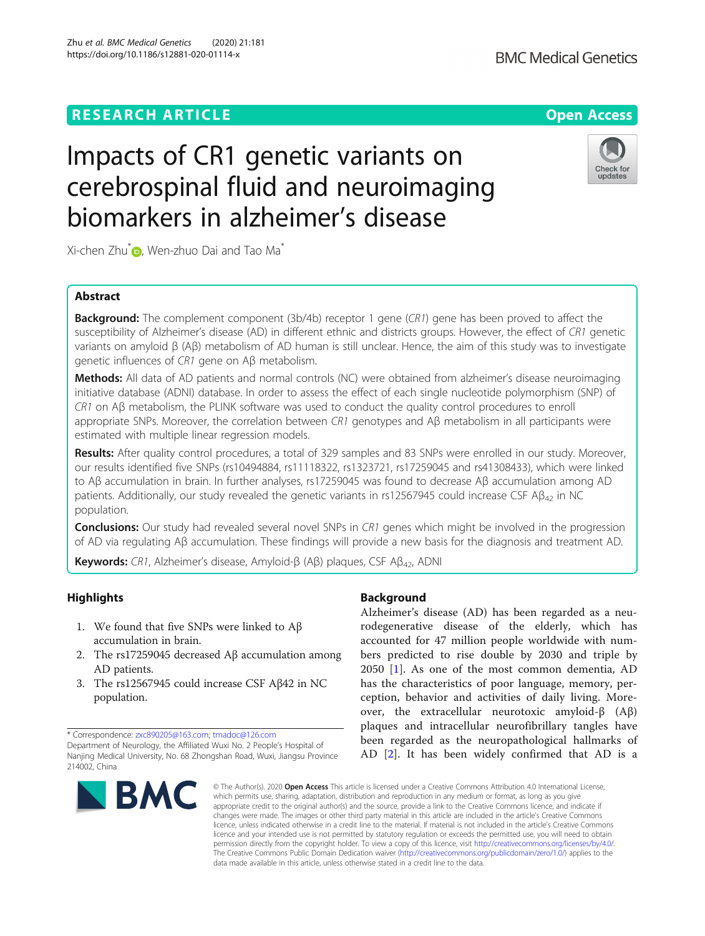#### Zhu et al. BMC Medical Genetics (2020) 21:181 https://doi.org/10.1186/s12881-020-01114-x



## Impacts of CR1 genetic variants on cerebrospinal fluid and neuroimaging biomarkers in alzheimer's disease

Xi-chen Zhu $^*$  [,](http://orcid.org/0000-0001-8696-0907) Wen-zhuo Dai and Tao Ma<sup>\*</sup>

### Abstract

**Background:** The complement component (3b/4b) receptor 1 gene (CR1) gene has been proved to affect the susceptibility of Alzheimer's disease (AD) in different ethnic and districts groups. However, the effect of CR1 genetic variants on amyloid β (Aβ) metabolism of AD human is still unclear. Hence, the aim of this study was to investigate genetic influences of CR1 gene on Aβ metabolism.

Methods: All data of AD patients and normal controls (NC) were obtained from alzheimer's disease neuroimaging initiative database (ADNI) database. In order to assess the effect of each single nucleotide polymorphism (SNP) of CR1 on Aβ metabolism, the PLINK software was used to conduct the quality control procedures to enroll appropriate SNPs. Moreover, the correlation between CR1 genotypes and Aβ metabolism in all participants were estimated with multiple linear regression models.

Results: After quality control procedures, a total of 329 samples and 83 SNPs were enrolled in our study. Moreover, our results identified five SNPs (rs10494884, rs11118322, rs1323721, rs17259045 and rs41308433), which were linked to Aβ accumulation in brain. In further analyses, rs17259045 was found to decrease Aβ accumulation among AD patients. Additionally, our study revealed the genetic variants in rs12567945 could increase CSF A $\beta_{42}$  in NC population.

**Conclusions:** Our study had revealed several novel SNPs in CR1 genes which might be involved in the progression of AD via regulating Aβ accumulation. These findings will provide a new basis for the diagnosis and treatment AD.

Keywords: CR1, Alzheimer's disease, Amyloid-β (Aβ) plaques, CSF Aβ<sub>42</sub>, ADNI

## **Highlights**

- 1. We found that five SNPs were linked to Aβ accumulation in brain.
- 2. The rs17259045 decreased Aβ accumulation among AD patients.
- 3. The rs12567945 could increase CSF Aβ42 in NC population.

\* Correspondence: [zxc890205@163.com](mailto:zxc890205@163.com); [tmadoc@126.com](mailto:tmadoc@126.com) Department of Neurology, the Affiliated Wuxi No. 2 People's Hospital of Nanjing Medical University, No. 68 Zhongshan Road, Wuxi, Jiangsu Province 214002, China

# **BMC**

### Background

Alzheimer's disease (AD) has been regarded as a neurodegenerative disease of the elderly, which has accounted for 47 million people worldwide with numbers predicted to rise double by 2030 and triple by 2050 [\[1](#page-6-0)]. As one of the most common dementia, AD has the characteristics of poor language, memory, perception, behavior and activities of daily living. Moreover, the extracellular neurotoxic amyloid-β (Aβ) plaques and intracellular neurofibrillary tangles have been regarded as the neuropathological hallmarks of AD [[2\]](#page-6-0). It has been widely confirmed that AD is a

© The Author(s), 2020 **Open Access** This article is licensed under a Creative Commons Attribution 4.0 International License, which permits use, sharing, adaptation, distribution and reproduction in any medium or format, as long as you give appropriate credit to the original author(s) and the source, provide a link to the Creative Commons licence, and indicate if changes were made. The images or other third party material in this article are included in the article's Creative Commons licence, unless indicated otherwise in a credit line to the material. If material is not included in the article's Creative Commons licence and your intended use is not permitted by statutory regulation or exceeds the permitted use, you will need to obtain permission directly from the copyright holder. To view a copy of this licence, visit [http://creativecommons.org/licenses/by/4.0/.](http://creativecommons.org/licenses/by/4.0/) The Creative Commons Public Domain Dedication waiver [\(http://creativecommons.org/publicdomain/zero/1.0/](http://creativecommons.org/publicdomain/zero/1.0/)) applies to the data made available in this article, unless otherwise stated in a credit line to the data.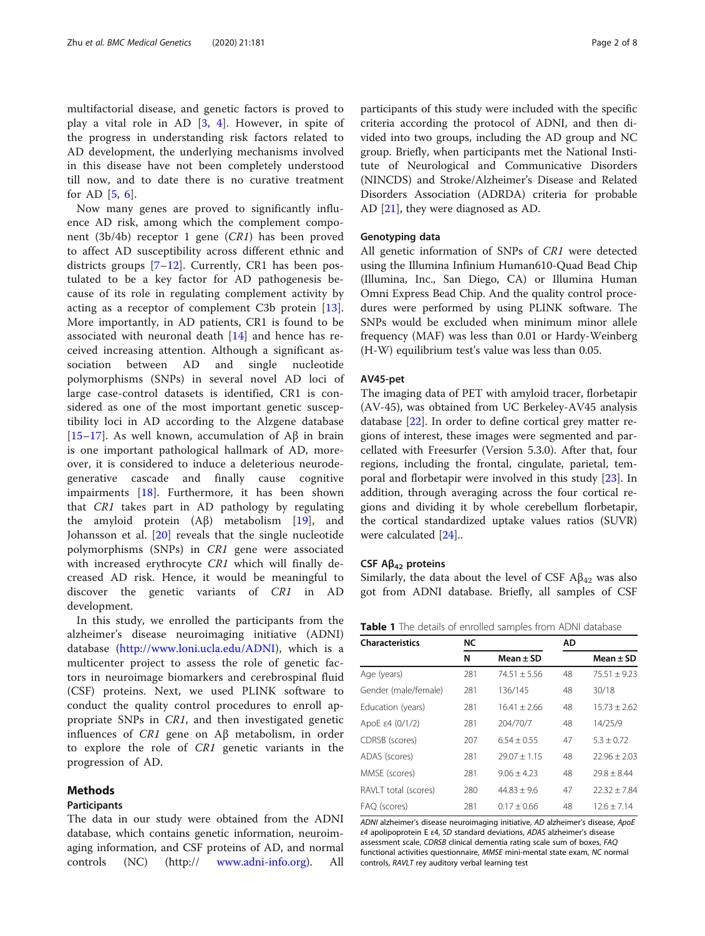<span id="page-1-0"></span>multifactorial disease, and genetic factors is proved to play a vital role in AD  $[3, 4]$  $[3, 4]$  $[3, 4]$  $[3, 4]$ . However, in spite of the progress in understanding risk factors related to AD development, the underlying mechanisms involved in this disease have not been completely understood till now, and to date there is no curative treatment for AD [[5,](#page-7-0) [6](#page-7-0)].

Now many genes are proved to significantly influence AD risk, among which the complement component (3b/4b) receptor 1 gene (CR1) has been proved to affect AD susceptibility across different ethnic and districts groups  $[7-12]$  $[7-12]$  $[7-12]$  $[7-12]$ . Currently, CR1 has been postulated to be a key factor for AD pathogenesis because of its role in regulating complement activity by acting as a receptor of complement C3b protein [\[13](#page-7-0)]. More importantly, in AD patients, CR1 is found to be associated with neuronal death [\[14](#page-7-0)] and hence has received increasing attention. Although a significant association between AD and single nucleotide polymorphisms (SNPs) in several novel AD loci of large case-control datasets is identified, CR1 is considered as one of the most important genetic susceptibility loci in AD according to the Alzgene database [[15](#page-7-0)–[17\]](#page-7-0). As well known, accumulation of Aβ in brain is one important pathological hallmark of AD, moreover, it is considered to induce a deleterious neurodegenerative cascade and finally cause cognitive impairments [\[18](#page-7-0)]. Furthermore, it has been shown that CR1 takes part in AD pathology by regulating the amyloid protein (Aβ) metabolism [\[19](#page-7-0)], and Johansson et al. [[20\]](#page-7-0) reveals that the single nucleotide polymorphisms (SNPs) in CR1 gene were associated with increased erythrocyte CR1 which will finally decreased AD risk. Hence, it would be meaningful to discover the genetic variants of CR1 in AD development.

In this study, we enrolled the participants from the alzheimer's disease neuroimaging initiative (ADNI) database [\(http://www.loni.ucla.edu/ADNI\)](http://www.loni.ucla.edu/ADNI), which is a multicenter project to assess the role of genetic factors in neuroimage biomarkers and cerebrospinal fluid (CSF) proteins. Next, we used PLINK software to conduct the quality control procedures to enroll appropriate SNPs in CR1, and then investigated genetic influences of CR1 gene on Aβ metabolism, in order to explore the role of CR1 genetic variants in the progression of AD.

#### Methods

#### Participants

The data in our study were obtained from the ADNI database, which contains genetic information, neuroimaging information, and CSF proteins of AD, and normal controls (NC) (http:// [www.adni-info.org\)](http://www.adni-info.org). All participants of this study were included with the specific criteria according the protocol of ADNI, and then divided into two groups, including the AD group and NC group. Briefly, when participants met the National Institute of Neurological and Communicative Disorders (NINCDS) and Stroke/Alzheimer's Disease and Related Disorders Association (ADRDA) criteria for probable AD [[21\]](#page-7-0), they were diagnosed as AD.

#### Genotyping data

All genetic information of SNPs of CR1 were detected using the Illumina Infinium Human610-Quad Bead Chip (Illumina, Inc., San Diego, CA) or Illumina Human Omni Express Bead Chip. And the quality control procedures were performed by using PLINK software. The SNPs would be excluded when minimum minor allele frequency (MAF) was less than 0.01 or Hardy-Weinberg (H-W) equilibrium test's value was less than 0.05.

#### AV45-pet

The imaging data of PET with amyloid tracer, florbetapir (AV-45), was obtained from UC Berkeley-AV45 analysis database [\[22\]](#page-7-0). In order to define cortical grey matter regions of interest, these images were segmented and parcellated with Freesurfer (Version 5.3.0). After that, four regions, including the frontal, cingulate, parietal, temporal and florbetapir were involved in this study [\[23](#page-7-0)]. In addition, through averaging across the four cortical regions and dividing it by whole cerebellum florbetapir, the cortical standardized uptake values ratios (SUVR) were calculated [[24\]](#page-7-0)..

#### CSF  $A\beta_{42}$  proteins

Similarly, the data about the level of CSF  $A\beta_{42}$  was also got from ADNI database. Briefly, all samples of CSF

Table 1 The details of enrolled samples from ADNI database

| <b>Characteristics</b> | <b>NC</b> |                 | AD |                  |
|------------------------|-----------|-----------------|----|------------------|
|                        | N         | Mean $\pm$ SD   |    | Mean $\pm$ SD    |
| Age (years)            | 281       | $74.51 + 5.56$  | 48 | $75.51 + 9.23$   |
| Gender (male/female)   | 281       | 136/145         | 48 | 30/18            |
| Education (years)      | 281       | $16.41 + 2.66$  | 48 | $15.73 + 2.62$   |
| ApoE ε4 $(0/1/2)$      | 281       | 204/70/7        | 48 | 14/25/9          |
| CDRSB (scores)         | 207       | $6.54 + 0.55$   | 47 | $5.3 + 0.72$     |
| ADAS (scores)          | 281       | $29.07 + 1.15$  | 48 | $22.96 + 2.03$   |
| MMSE (scores)          | 281       | $9.06 + 4.23$   | 48 | $79.8 + 8.44$    |
| RAVLT total (scores)   | 280       | $44.83 + 9.6$   | 47 | $22.32 \pm 7.84$ |
| FAQ (scores)           | 281       | $0.17 \pm 0.66$ | 48 | $12.6 + 7.14$    |

ADNI alzheimer's disease neuroimaging initiative, AD alzheimer's disease, ApoE ε4 apolipoprotein E ε4, SD standard deviations, ADAS alzheimer's disease assessment scale, CDRSB clinical dementia rating scale sum of boxes, FAQ functional activities questionnaire, MMSE mini-mental state exam, NC normal controls, RAVLT rey auditory verbal learning test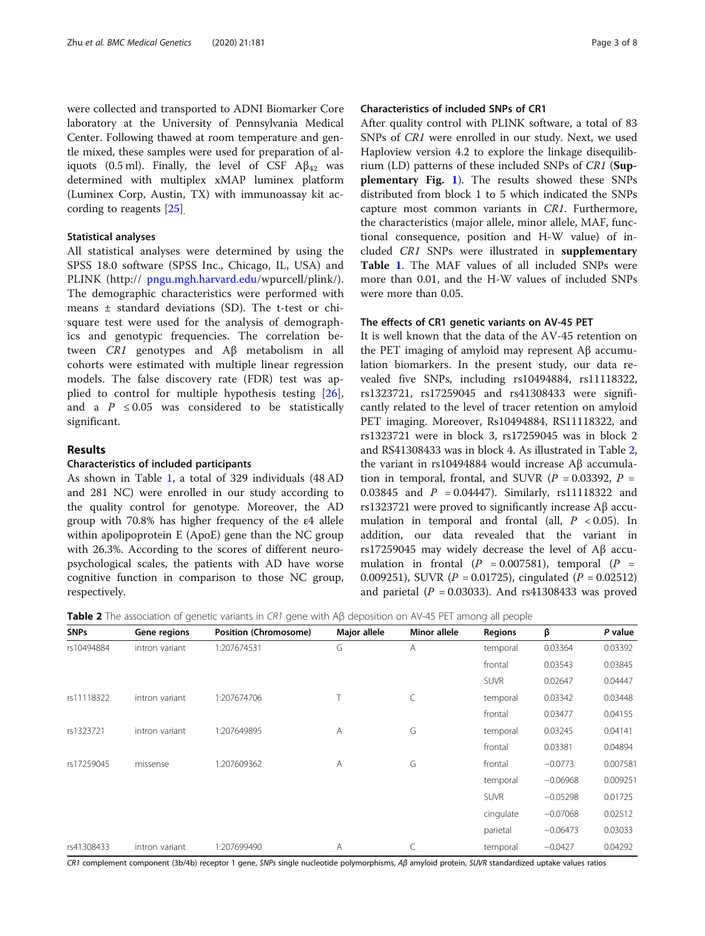were collected and transported to ADNI Biomarker Core laboratory at the University of Pennsylvania Medical Center. Following thawed at room temperature and gentle mixed, these samples were used for preparation of aliquots (0.5 ml). Finally, the level of CSF  $\mathbf{A}\mathbf{\beta}_{42}$  was determined with multiplex xMAP luminex platform (Luminex Corp, Austin, TX) with immunoassay kit according to reagents [[25\]](#page-7-0).

#### Statistical analyses

All statistical analyses were determined by using the SPSS 18.0 software (SPSS Inc., Chicago, IL, USA) and PLINK (http:// [pngu.mgh.harvard.edu](http://pngu.mgh.harvard.edu)/wpurcell/plink/). The demographic characteristics were performed with means ± standard deviations (SD). The t-test or chisquare test were used for the analysis of demographics and genotypic frequencies. The correlation between CR1 genotypes and Aβ metabolism in all cohorts were estimated with multiple linear regression models. The false discovery rate (FDR) test was applied to control for multiple hypothesis testing [\[26](#page-7-0)], and a  $P \leq 0.05$  was considered to be statistically significant.

#### Results

#### Characteristics of included participants

As shown in Table [1,](#page-1-0) a total of 329 individuals (48 AD and 281 NC) were enrolled in our study according to the quality control for genotype. Moreover, the AD group with 70.8% has higher frequency of the ε4 allele within apolipoprotein E (ApoE) gene than the NC group with 26.3%. According to the scores of different neuropsychological scales, the patients with AD have worse cognitive function in comparison to those NC group, respectively.

#### Characteristics of included SNPs of CR1

After quality control with PLINK software, a total of 83 SNPs of CR1 were enrolled in our study. Next, we used Haploview version 4.2 to explore the linkage disequilibrium (LD) patterns of these included SNPs of CR1 (Supplementary Fig. [1](#page-6-0)). The results showed these SNPs distributed from block 1 to 5 which indicated the SNPs capture most common variants in CR1. Furthermore, the characteristics (major allele, minor allele, MAF, functional consequence, position and H-W value) of included CR1 SNPs were illustrated in supplementary Table [1](#page-6-0). The MAF values of all included SNPs were more than 0.01, and the H-W values of included SNPs were more than 0.05.

#### The effects of CR1 genetic variants on AV-45 PET

It is well known that the data of the AV-45 retention on the PET imaging of amyloid may represent Aβ accumulation biomarkers. In the present study, our data revealed five SNPs, including rs10494884, rs11118322, rs1323721, rs17259045 and rs41308433 were significantly related to the level of tracer retention on amyloid PET imaging. Moreover, Rs10494884, RS11118322, and rs1323721 were in block 3, rs17259045 was in block 2 and RS41308433 was in block 4. As illustrated in Table 2, the variant in rs10494884 would increase Aβ accumulation in temporal, frontal, and SUVR ( $P = 0.03392$ ,  $P =$ 0.03845 and  $P = 0.04447$ . Similarly, rs11118322 and rs1323721 were proved to significantly increase Aβ accumulation in temporal and frontal (all,  $P < 0.05$ ). In addition, our data revealed that the variant in rs17259045 may widely decrease the level of Aβ accumulation in frontal  $(P = 0.007581)$ , temporal  $(P =$ 0.009251), SUVR ( $P = 0.01725$ ), cingulated ( $P = 0.02512$ ) and parietal ( $P = 0.03033$ ). And rs41308433 was proved

Table 2 The association of genetic variants in CR1 gene with Aβ deposition on AV-45 PET among all people

| <b>SNPs</b> | Gene regions   | Position (Chromosome) | Major allele   | Minor allele | <b>Regions</b> | β          | P value  |
|-------------|----------------|-----------------------|----------------|--------------|----------------|------------|----------|
| rs10494884  | intron variant | 1:207674531           | G              | Α            | temporal       | 0.03364    | 0.03392  |
|             |                |                       |                |              | frontal        | 0.03543    | 0.03845  |
|             |                |                       |                |              | <b>SUVR</b>    | 0.02647    | 0.04447  |
| rs11118322  | intron variant | 1:207674706           |                | C            | temporal       | 0.03342    | 0.03448  |
|             |                |                       |                |              | frontal        | 0.03477    | 0.04155  |
| rs1323721   | intron variant | 1:207649895           | $\overline{A}$ | G            | temporal       | 0.03245    | 0.04141  |
|             |                |                       |                |              | frontal        | 0.03381    | 0.04894  |
| rs17259045  | missense       | 1:207609362           | A              | G            | frontal        | $-0.0773$  | 0.007581 |
|             |                |                       |                |              | temporal       | $-0.06968$ | 0.009251 |
|             |                |                       |                | <b>SUVR</b>  | $-0.05298$     | 0.01725    |          |
|             |                |                       |                | cingulate    | $-0.07068$     | 0.02512    |          |
|             |                |                       |                | parietal     | $-0.06473$     | 0.03033    |          |
| rs41308433  | intron variant | 1:207699490           | A              | C            | temporal       | $-0.0427$  | 0.04292  |

CR1 complement component (3b/4b) receptor 1 gene, SNPs single nucleotide polymorphisms, Aβ amyloid protein, SUVR standardized uptake values ratios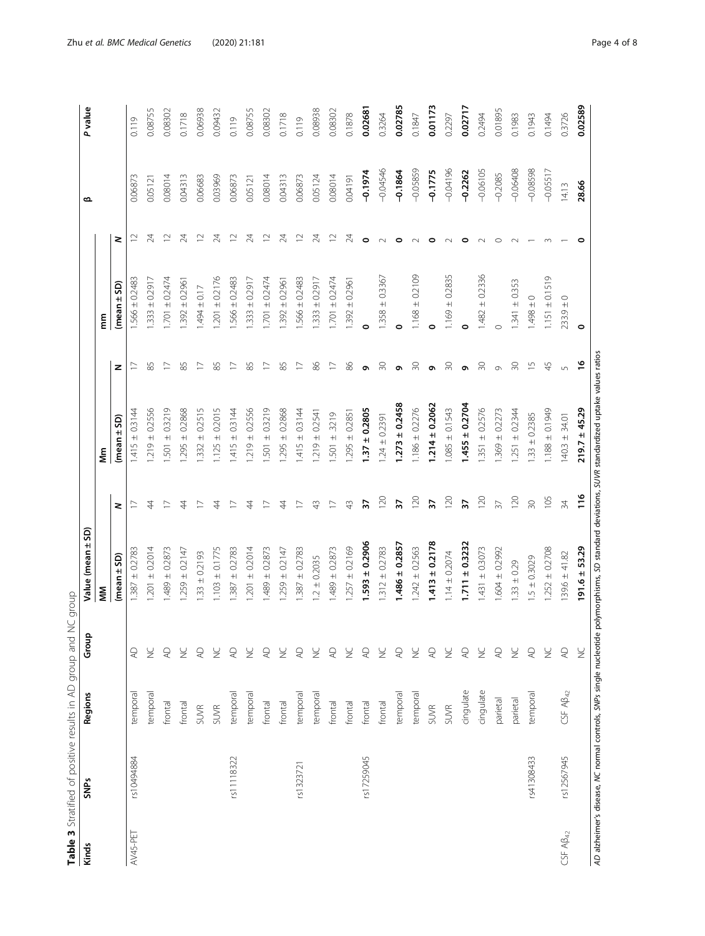| l<br>١<br>١<br>ι                  |
|-----------------------------------|
| てらい<br>$\overline{\phantom{a}}$   |
| ١<br>$\frac{1}{2}$<br>Ś<br>İ<br>1 |
| $\overline{a}$                    |
| $\ddot{\phantom{a}}$              |
| j<br>ì<br>I<br>ļ                  |
|                                   |
|                                   |
| Ï                                 |
| ١                                 |
| í                                 |

<span id="page-3-0"></span>

| Kinds         | <b>SNPs</b>                                                        | Regions              | Group                  | Value (mean ± SD)  |                 |                                                                               |                          |                    |                 | ≃          | P value |
|---------------|--------------------------------------------------------------------|----------------------|------------------------|--------------------|-----------------|-------------------------------------------------------------------------------|--------------------------|--------------------|-----------------|------------|---------|
|               |                                                                    |                      |                        | Š                  |                 | €<br>∑                                                                        |                          | mm                 |                 |            |         |
|               |                                                                    |                      |                        | (mean ± SD)        | 2               | (mean ± SD)                                                                   | z                        | (mean ± SD)        | 2               |            |         |
| AV45-PET      | rs10494884                                                         | temporal             | $\overline{A}$         | $1.387 \pm 0.2783$ |                 | $1.415 \pm 0.3144$                                                            | ⊵                        | $1.566 \pm 0.2483$ | $\approx$       | 0.06873    | 0.119   |
|               |                                                                    | emporal              | $\geq$                 | $1.201 \pm 0.2014$ | $\overline{4}$  | $.219 \pm 0.2556$                                                             | 85                       | $.333 \pm 0.2917$  | 24              | 0.05121    | 0.08755 |
|               |                                                                    | frontal              | $\overline{A}$         | $1.489 \pm 0.2873$ |                 | $.501 \pm 0.3219$                                                             | ₽                        | $1.701 \pm 0.2474$ | $\approx$       | 0.08014    | 0.08302 |
|               |                                                                    | frontal              | $\geq$                 | $1.259 \pm 0.2147$ | 4               | $.295 \pm 0.2868$                                                             | 85                       | $1.392 \pm 0.296$  | 24              | 0.04313    | 0.1718  |
|               |                                                                    | SUVR                 | $\overline{A}$         | $1.33 \pm 0.2193$  |                 | $.332 \pm 0.2515$                                                             | $\overline{\phantom{0}}$ | $-494 \pm 0.17$    | $\approx$       | 0.06683    | 0.06938 |
|               |                                                                    | SUVR                 | ¥                      | $1.103 \pm 0.1775$ | 4               | $.125 \pm 0.2015$                                                             | 85                       | $1.201 \pm 0.2176$ | 24              | 0.03969    | 0.09432 |
|               | rs11118322                                                         | temporal             | $\overline{A}$         | $.387 \pm 0.2783$  |                 | $1.415 \pm 0.3144$                                                            | $\overline{\phantom{0}}$ | $1.566 \pm 0.2483$ | $\approx$       | 0.06873    | 0.119   |
|               |                                                                    | temporal             | $\geq$                 | $1.201 \pm 0.2014$ | 4               | $.219 \pm 0.2556$                                                             | 85                       | $1.333 \pm 0.2917$ | 24              | 0.05121    | 0.08755 |
|               |                                                                    | frontal              | $\overline{A}$         | $1.489 \pm 0.2873$ |                 | $.501 \pm 0.3219$                                                             | $\overline{\phantom{0}}$ | $1.701 \pm 0.2474$ | $\approx$       | 0.08014    | 0.08302 |
|               |                                                                    | frontal              | $\frac{C}{Z}$          | $1.259 \pm 0.2147$ | 44              | $1.295 \pm 0.2868$                                                            | 85                       | $1.392 \pm 0.2961$ | $\overline{24}$ | 0.04313    | 0.1718  |
|               | rs1323721                                                          | temporal             | $\overline{A}$         | $.387 \pm 0.2783$  |                 | $.415 \pm 0.3144$                                                             |                          | $1.566 \pm 0.2483$ | $\approx$       | 0.06873    | 0.119   |
|               |                                                                    | temporal             | $\geq$                 | $1.2 \pm 0.2035$   | 43              | $1.219 \pm 0.2541$                                                            | 86                       | $1.333 \pm 0.2917$ | $\overline{24}$ | 0.05124    | 0.08938 |
|               |                                                                    | frontal              | $\overline{A}$         | $1.489 \pm 0.2873$ |                 | $.501 \pm .3219$                                                              |                          | $1.701 \pm 0.2474$ | $\approx$       | 0.08014    | 0.08302 |
|               |                                                                    | frontal              | $\geq$                 | $.257 \pm 0.2169$  | $\frac{3}{4}$   | $.295 \pm 0.2851$                                                             | 86                       | $1.392 \pm 0.2961$ | 24              | 161700     | 0.1878  |
|               | rs17259045                                                         | frontal              | AC                     | $1.593 \pm 0.2906$ | 57              | $1.37 \pm 0.2805$                                                             | ō                        | $\circ$            |                 | $-0.1974$  | 0.02681 |
|               |                                                                    | frontal              | $\geq$                 | $.312 \pm 0.2783$  | 120             | $1.24 \pm 0.2391$                                                             | $\sqrt{30}$              | $1.358 \pm 0.3367$ |                 | $-0.04546$ | 0.3264  |
|               |                                                                    | temporal             | $\overline{A}$         | $1.486 \pm 0.2857$ | 57              | $1.273 \pm 0.2458$                                                            | Ō                        | $\circ$            |                 | $-0.1864$  | 0.02785 |
|               |                                                                    | temporal             | $\geq$                 | $1.242 \pm 0.2563$ | 120             | $1.186 \pm 0.2276$                                                            | $\approx$                | $1.168 \pm 0.2109$ |                 | $-0.05859$ | 0.1847  |
|               |                                                                    | <b>SUVR</b>          | Q                      | $1.413 \pm 0.2178$ | 37              | $1.214 \pm 0.2062$                                                            | Ō                        |                    |                 | $-0.1775$  | 0.01173 |
|               |                                                                    | SUVR                 | $\geq$                 | $1.14 \pm 0.2074$  | 120             | $1.085 \pm 0.1543$                                                            | $\approx$                | $1.169 \pm 0.2835$ |                 | $-0.04196$ | 0.2297  |
|               |                                                                    | cingulate            | $\overline{A}$         | $1.711 \pm 0.3232$ | 37              | $1.455 \pm 0.2704$                                                            | Ō                        | $\circ$            |                 | $-0.2262$  | 0.02717 |
|               |                                                                    | cingulate            | $\geq$                 | $1.431 \pm 0.3073$ | 120             | $.351 \pm 0.2576$                                                             | 50                       | $1.482 \pm 0.2336$ |                 | $-0.06105$ | 0.2494  |
|               |                                                                    | parietal             | $\overline{A}$         | $1.604 \pm 0.2992$ | $\overline{37}$ | $1.369 \pm 0.2273$                                                            | $\circ$                  | $\circ$            |                 | $-0.2085$  | 0.01895 |
|               |                                                                    | parietal             | $\geq$                 | $1.33 \pm 0.29$    | 120             | $.251 \pm 0.2344$                                                             | 50                       | $1.341 \pm 0.353$  |                 | $-0.06408$ | 0.1983  |
|               | rs41308433                                                         | temporal             | Q                      | $5 + 0.3029$       | $\overline{30}$ | $.33 \pm 0.2385$                                                              | $\overline{1}$           | $1.498 + 0$        |                 | $-0.08598$ | 0.1943  |
|               |                                                                    |                      | $\geq$                 | $1.252 \pm 0.2708$ | 105             | $1.188 \pm 0.1949$                                                            | $\overline{4}$           | $1.151 \pm 0.1519$ |                 | $-0.05517$ | 0.1494  |
| CSF $AB_{42}$ | rs12567945                                                         | $CSF$ A $\beta_{42}$ | $\mathbb{A}\mathbb{D}$ | $39.6 \pm 41.82$   | 34              | $140.3 \pm 34.01$                                                             | 5                        | $233.9 \pm 0$      |                 | 14.13      | 0.3726  |
|               |                                                                    |                      | $\frac{C}{Z}$          | $191.6 \pm 53.29$  | 116             | ± 45.29<br>219.7                                                              | $\frac{8}{1}$            | $\circ$            |                 | 28.66      | 0.02589 |
|               | AD alzheimer's disease, NC normal controls, SNPs single nucleotide |                      |                        |                    |                 | polymorphisms, SD standard deviations, SUVR standardized uptake values ratios |                          |                    |                 |            |         |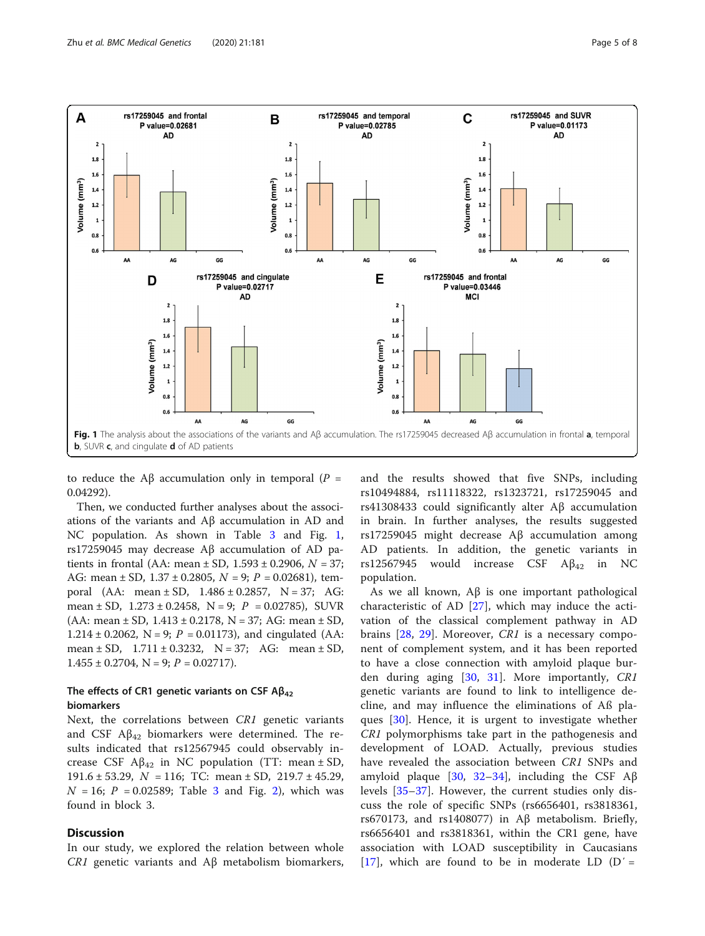

to reduce the Aβ accumulation only in temporal ( $P =$ 0.04292).

Then, we conducted further analyses about the associations of the variants and Aβ accumulation in AD and NC population. As shown in Table [3](#page-3-0) and Fig. 1, rs17259045 may decrease Aβ accumulation of AD patients in frontal (AA: mean  $\pm$  SD, 1.593  $\pm$  0.2906, N = 37; AG: mean  $\pm$  SD, 1.37  $\pm$  0.2805, N = 9; P = 0.02681), temporal (AA: mean  $\pm$  SD, 1.486  $\pm$  0.2857, N = 37; AG: mean  $\pm$  SD, 1.273  $\pm$  0.2458, N = 9; P = 0.02785), SUVR  $(AA: mean \pm SD, 1.413 \pm 0.2178, N = 37; AG: mean \pm SD,$ 1.214 ± 0.2062, N = 9;  $P = 0.01173$ ), and cingulated (AA: mean  $\pm$  SD,  $1.711 \pm 0.3232$ , N = 37; AG: mean  $\pm$  SD,  $1.455 \pm 0.2704$ , N = 9; P = 0.02717).

#### The effects of CR1 genetic variants on CSF  $AB_{42}$ biomarkers

Next, the correlations between CR1 genetic variants and CSF  $A\beta_{42}$  biomarkers were determined. The results indicated that rs12567945 could observably increase CSF  $\mathsf{A}\beta_{42}$  in NC population (TT: mean  $\pm$  SD, 191.6  $\pm$  53.29,  $N = 116$ ; TC: mean  $\pm$  SD, 219.7  $\pm$  45.29,  $N = 16$ ;  $P = 0.02589$  $P = 0.02589$  $P = 0.02589$ ; Table [3](#page-3-0) and Fig. 2), which was found in block 3.

#### **Discussion**

In our study, we explored the relation between whole CR1 genetic variants and  $Aβ$  metabolism biomarkers, and the results showed that five SNPs, including rs10494884, rs11118322, rs1323721, rs17259045 and rs41308433 could significantly alter Aβ accumulation in brain. In further analyses, the results suggested rs17259045 might decrease Aβ accumulation among AD patients. In addition, the genetic variants in rs12567945 would increase CSF  $\mathbb{A}\beta_{42}$  in NC population.

As we all known,  $\mathbf{A}\beta$  is one important pathological characteristic of AD [\[27](#page-7-0)], which may induce the activation of the classical complement pathway in AD brains [[28,](#page-7-0) [29](#page-7-0)]. Moreover, CR1 is a necessary component of complement system, and it has been reported to have a close connection with amyloid plaque burden during aging [[30,](#page-7-0) [31\]](#page-7-0). More importantly, CR1 genetic variants are found to link to intelligence decline, and may influence the eliminations of Aß plaques [\[30](#page-7-0)]. Hence, it is urgent to investigate whether CR1 polymorphisms take part in the pathogenesis and development of LOAD. Actually, previous studies have revealed the association between CR1 SNPs and amyloid plaque [\[30](#page-7-0), [32](#page-7-0)–[34](#page-7-0)], including the CSF Aβ levels [\[35](#page-7-0)–[37](#page-7-0)]. However, the current studies only discuss the role of specific SNPs (rs6656401, rs3818361, rs670173, and rs1408077) in Aβ metabolism. Briefly, rs6656401 and rs3818361, within the CR1 gene, have association with LOAD susceptibility in Caucasians [[17\]](#page-7-0), which are found to be in moderate LD  $(D' =$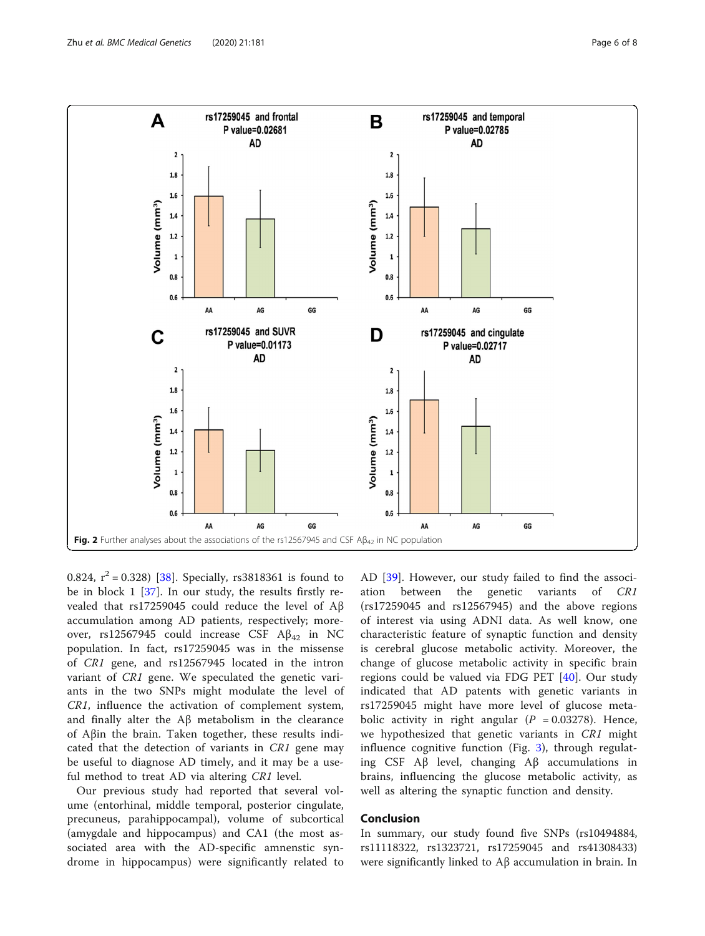<span id="page-5-0"></span>

0.824,  $r^2 = 0.328$  [[38](#page-7-0)]. Specially, rs3818361 is found to be in block 1 [[37](#page-7-0)]. In our study, the results firstly revealed that rs17259045 could reduce the level of Aβ accumulation among AD patients, respectively; moreover, rs12567945 could increase CSF  $A\beta_{42}$  in NC population. In fact, rs17259045 was in the missense of CR1 gene, and rs12567945 located in the intron variant of CR1 gene. We speculated the genetic variants in the two SNPs might modulate the level of CR1, influence the activation of complement system, and finally alter the Aβ metabolism in the clearance of Aβin the brain. Taken together, these results indicated that the detection of variants in CR1 gene may be useful to diagnose AD timely, and it may be a useful method to treat AD via altering CR1 level.

Our previous study had reported that several volume (entorhinal, middle temporal, posterior cingulate, precuneus, parahippocampal), volume of subcortical (amygdale and hippocampus) and CA1 (the most associated area with the AD-specific amnenstic syndrome in hippocampus) were significantly related to AD [\[39](#page-7-0)]. However, our study failed to find the association between the genetic variants of CR1 (rs17259045 and rs12567945) and the above regions of interest via using ADNI data. As well know, one characteristic feature of synaptic function and density is cerebral glucose metabolic activity. Moreover, the change of glucose metabolic activity in specific brain regions could be valued via FDG PET [[40\]](#page-7-0). Our study indicated that AD patents with genetic variants in rs17259045 might have more level of glucose metabolic activity in right angular ( $P = 0.03278$ ). Hence, we hypothesized that genetic variants in CR1 might influence cognitive function (Fig. [3\)](#page-6-0), through regulating CSF Aβ level, changing Aβ accumulations in brains, influencing the glucose metabolic activity, as well as altering the synaptic function and density.

#### Conclusion

In summary, our study found five SNPs (rs10494884, rs11118322, rs1323721, rs17259045 and rs41308433) were significantly linked to Aβ accumulation in brain. In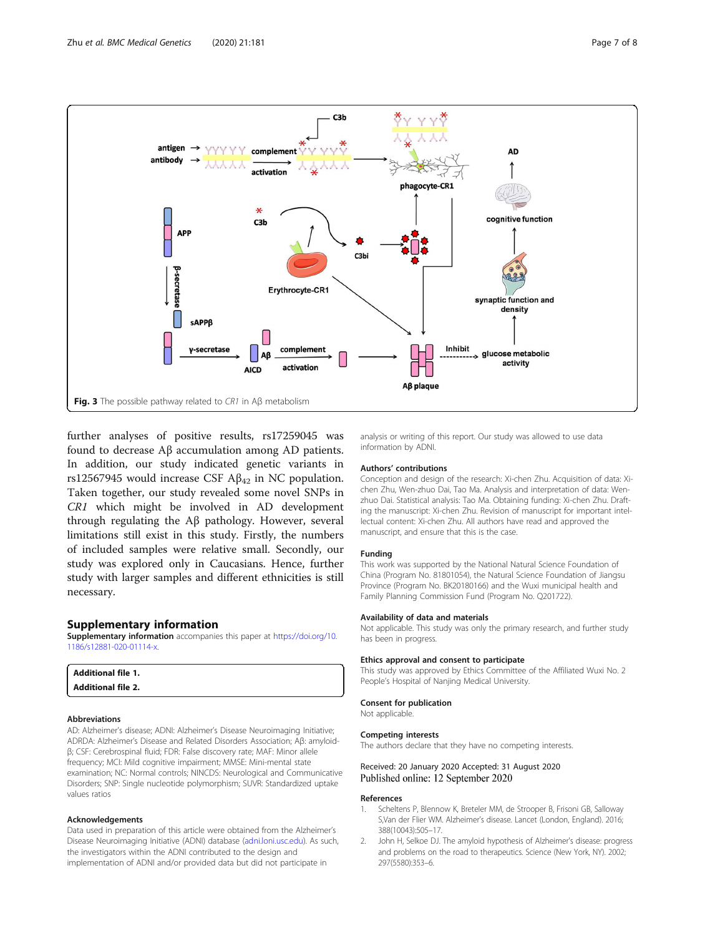<span id="page-6-0"></span>

further analyses of positive results, rs17259045 was found to decrease Aβ accumulation among AD patients. In addition, our study indicated genetic variants in rs12567945 would increase CSF  $A\beta_{42}$  in NC population. Taken together, our study revealed some novel SNPs in CR1 which might be involved in AD development through regulating the Aβ pathology. However, several limitations still exist in this study. Firstly, the numbers of included samples were relative small. Secondly, our study was explored only in Caucasians. Hence, further study with larger samples and different ethnicities is still necessary.

#### Supplementary information

Supplementary information accompanies this paper at [https://doi.org/10.](https://doi.org/10.1186/s12881-020-01114-x) [1186/s12881-020-01114-x.](https://doi.org/10.1186/s12881-020-01114-x)

| <b>Additional file 1.</b> |  |  |
|---------------------------|--|--|
|---------------------------|--|--|

Additional file 2.

#### Abbreviations

AD: Alzheimer's disease; ADNI: Alzheimer's Disease Neuroimaging Initiative; ADRDA: Alzheimer's Disease and Related Disorders Association; Aβ: amyloidβ; CSF: Cerebrospinal fluid; FDR: False discovery rate; MAF: Minor allele frequency; MCI: Mild cognitive impairment; MMSE: Mini-mental state examination; NC: Normal controls; NINCDS: Neurological and Communicative Disorders; SNP: Single nucleotide polymorphism; SUVR: Standardized uptake values ratios

#### Acknowledgements

Data used in preparation of this article were obtained from the Alzheimer's Disease Neuroimaging Initiative (ADNI) database ([adni.loni.usc.edu](http://adni.loni.usc.edu)). As such, the investigators within the ADNI contributed to the design and implementation of ADNI and/or provided data but did not participate in

analysis or writing of this report. Our study was allowed to use data information by ADNI.

#### Authors' contributions

Conception and design of the research: Xi-chen Zhu. Acquisition of data: Xichen Zhu, Wen-zhuo Dai, Tao Ma. Analysis and interpretation of data: Wenzhuo Dai. Statistical analysis: Tao Ma. Obtaining funding: Xi-chen Zhu. Drafting the manuscript: Xi-chen Zhu. Revision of manuscript for important intellectual content: Xi-chen Zhu. All authors have read and approved the manuscript, and ensure that this is the case.

#### Funding

This work was supported by the National Natural Science Foundation of China (Program No. 81801054), the Natural Science Foundation of Jiangsu Province (Program No. BK20180166) and the Wuxi municipal health and Family Planning Commission Fund (Program No. Q201722).

#### Availability of data and materials

Not applicable. This study was only the primary research, and further study has been in progress.

#### Ethics approval and consent to participate

This study was approved by Ethics Committee of the Affiliated Wuxi No. 2 People's Hospital of Nanjing Medical University.

#### Consent for publication Not applicable.

Competing interests

The authors declare that they have no competing interests.

#### Received: 20 January 2020 Accepted: 31 August 2020 Published online: 12 September 2020

#### References

- 1. Scheltens P, Blennow K, Breteler MM, de Strooper B, Frisoni GB, Salloway S,Van der Flier WM. Alzheimer's disease. Lancet (London, England). 2016; 388(10043):505–17.
- 2. John H, Selkoe DJ. The amyloid hypothesis of Alzheimer's disease: progress and problems on the road to therapeutics. Science (New York, NY). 2002; 297(5580):353–6.